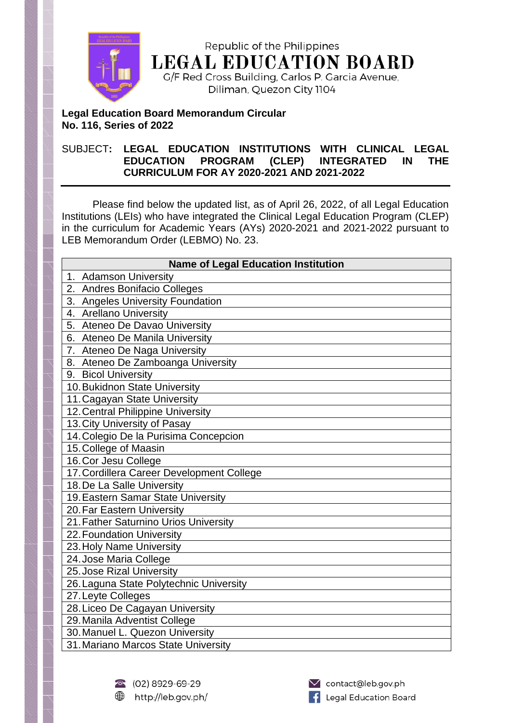

Republic of the Philippines **LEGAL EDUCATION BOARD** G/F Red Cross Building, Carlos P. Garcia Avenue,

Diliman, Quezon City 1104

## **Legal Education Board Memorandum Circular No. 116, Series of 2022**

## SUBJECT**: LEGAL EDUCATION INSTITUTIONS WITH CLINICAL LEGAL EDUCATION PROGRAM (CLEP) INTEGRATED IN THE CURRICULUM FOR AY 2020-2021 AND 2021-2022**

Please find below the updated list, as of April 26, 2022, of all Legal Education Institutions (LEIs) who have integrated the Clinical Legal Education Program (CLEP) in the curriculum for Academic Years (AYs) 2020-2021 and 2021-2022 pursuant to LEB Memorandum Order (LEBMO) No. 23.

| <b>Name of Legal Education Institution</b> |
|--------------------------------------------|
| 1. Adamson University                      |
| 2. Andres Bonifacio Colleges               |
| 3. Angeles University Foundation           |
| 4. Arellano University                     |
| 5. Ateneo De Davao University              |
| 6. Ateneo De Manila University             |
| 7. Ateneo De Naga University               |
| 8. Ateneo De Zamboanga University          |
| 9. Bicol University                        |
| 10. Bukidnon State University              |
| 11. Cagayan State University               |
| 12. Central Philippine University          |
| 13. City University of Pasay               |
| 14. Colegio De la Purisima Concepcion      |
| 15. College of Maasin                      |
| 16. Cor Jesu College                       |
| 17. Cordillera Career Development College  |
| 18. De La Salle University                 |
| 19. Eastern Samar State University         |
| 20. Far Eastern University                 |
| 21. Father Saturnino Urios University      |
| 22. Foundation University                  |
| 23. Holy Name University                   |
| 24. Jose Maria College                     |
| 25. Jose Rizal University                  |
| 26. Laguna State Polytechnic University    |
| 27. Leyte Colleges                         |
| 28. Liceo De Cagayan University            |
| 29. Manila Adventist College               |
| 30. Manuel L. Quezon University            |
| 31. Mariano Marcos State University        |

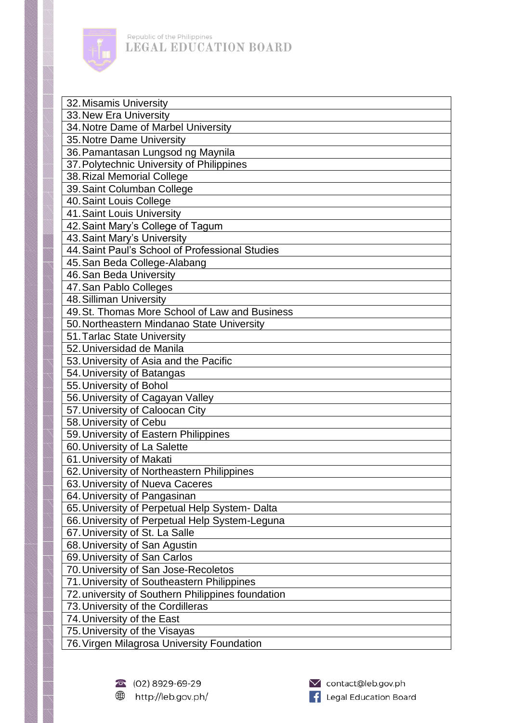

Republic of the Philippines LEGAL EDUCATION BOARD

| 32. Misamis University                            |
|---------------------------------------------------|
| 33. New Era University                            |
| 34. Notre Dame of Marbel University               |
| 35. Notre Dame University                         |
| 36. Pamantasan Lungsod ng Maynila                 |
| 37. Polytechnic University of Philippines         |
| 38. Rizal Memorial College                        |
| 39. Saint Columban College                        |
| 40. Saint Louis College                           |
| 41. Saint Louis University                        |
| 42. Saint Mary's College of Tagum                 |
| 43. Saint Mary's University                       |
| 44. Saint Paul's School of Professional Studies   |
| 45. San Beda College-Alabang                      |
| 46. San Beda University                           |
| 47. San Pablo Colleges                            |
| 48. Silliman University                           |
| 49. St. Thomas More School of Law and Business    |
| 50. Northeastern Mindanao State University        |
| 51. Tarlac State University                       |
| 52. Universidad de Manila                         |
| 53. University of Asia and the Pacific            |
| 54. University of Batangas                        |
| 55. University of Bohol                           |
| 56. University of Cagayan Valley                  |
| 57. University of Caloocan City                   |
| 58. University of Cebu                            |
| 59. University of Eastern Philippines             |
| 60. University of La Salette                      |
| 61. University of Makati                          |
| 62. University of Northeastern Philippines        |
| 63. University of Nueva Caceres                   |
| 64. University of Pangasinan                      |
| 65. University of Perpetual Help System- Dalta    |
| 66. University of Perpetual Help System-Leguna    |
| 67. University of St. La Salle                    |
| 68. University of San Agustin                     |
| 69. University of San Carlos                      |
| 70. University of San Jose-Recoletos              |
| 71. University of Southeastern Philippines        |
| 72. university of Southern Philippines foundation |
| 73. University of the Cordilleras                 |
| 74. University of the East                        |
| 75. University of the Visayas                     |
| 76. Virgen Milagrosa University Foundation        |
|                                                   |